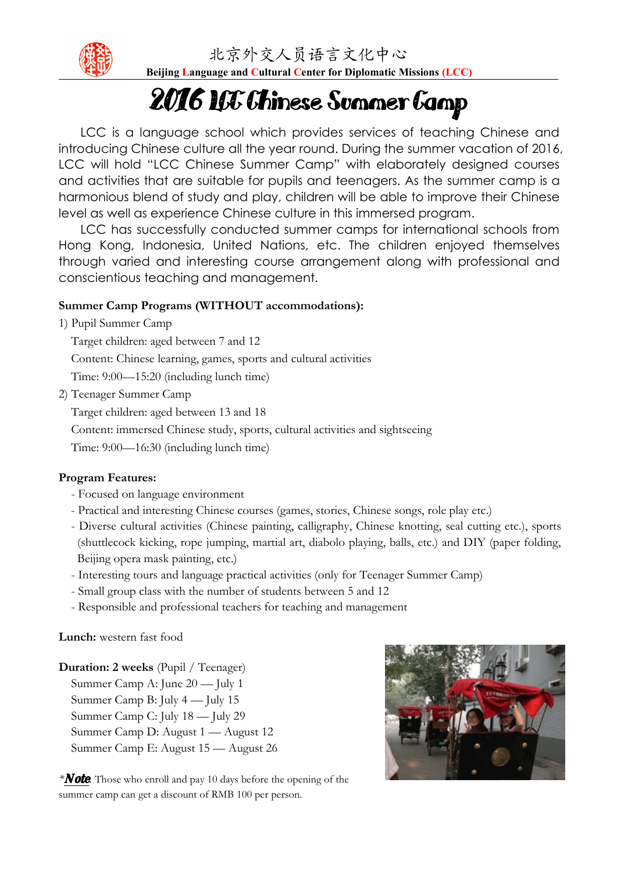

北京外交人员语言文化中心

**Beijing Language and Cultural Center for Diplomatic Missions (LCC)**

# 2016 LCC Chinese Summer Camp

LCC is a language school which provides services of teaching Chinese and introducing Chinese culture all the year round. During the summer vacation of 2016, LCC will hold "LCC Chinese Summer Camp" with elaborately designed courses and activities that are suitable for pupils and teenagers. As the summer camp is a harmonious blend of study and play, children will be able to improve their Chinese level as well as experience Chinese culture in this immersed program.

LCC has successfully conducted summer camps for international schools from Hong Kong, Indonesia, United Nations, etc. The children enjoyed themselves through varied and interesting course arrangement along with professional and conscientious teaching and management.

#### **Summer Camp Programs (WITHOUT accommodations):**

1) Pupil Summer Camp

Target children: aged between 7and 12 Content: Chinese learning, games, sports and cultural activities

- Time: 9:00—15:20 (including lunch time)
- 2) Teenager Summer Camp

Target children: aged between 13 and 18

Content: immersed Chinese study, sports, cultural activities and sightseeing

Time: 9:00—16:30 (including lunch time)

#### **Program Features:**

- Focused on language environment
- Practical and interesting Chinese courses (games, stories, Chinese songs, role play etc.)
- Diverse cultural activities (Chinese painting, calligraphy, Chinese knotting, seal cutting etc.), sports (shuttlecock kicking, rope jumping, martial art, diabolo playing, balls, etc.) and DIY (paper folding, Beijing opera mask painting, etc.)
- Interesting tours and language practical activities (only for Teenager Summer Camp)
- Small group class with the number of students between 5 and 12
- Responsible and professional teachers for teaching and management

#### **Lunch:** western fast food

### **Duration: 2 weeks** (Pupil / Teenager) Summer Camp A: June 20 — July 1

Summer Camp B: July 4 — July 15 Summer Camp C: July 18 — July 29 Summer Camp D: August 1 — August 12 Summer Camp E: August 15 — August 26

*\*Note*: Those who enroll and pay10 days before the opening of the summer camp can get a discount of RMB 100 per person.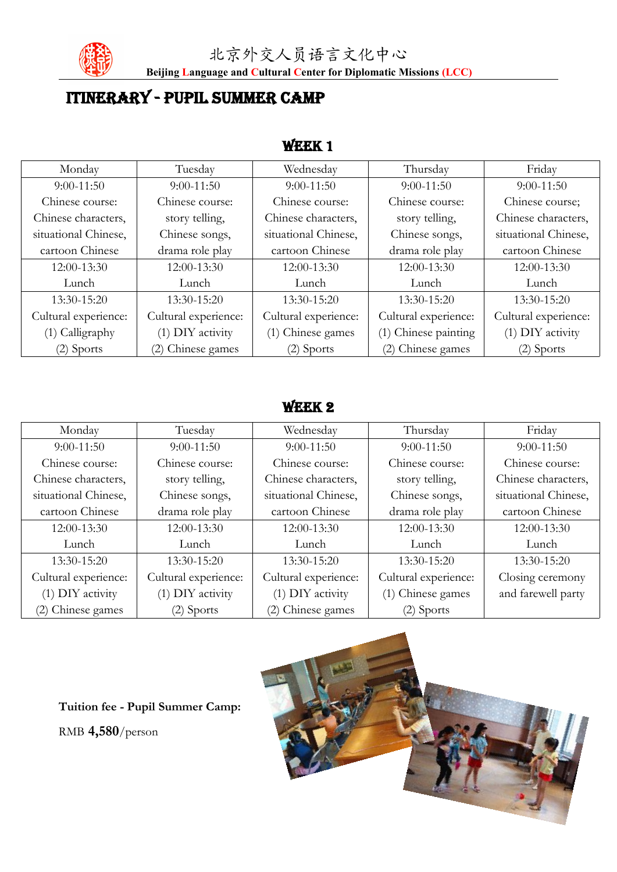

**Beijing Language and Cultural Center for Diplomatic Missions (LCC)**

# ITINERARY - PUPIL SUMMER CAMP

## WEEK 1

| Friday<br>Tuesday<br>Wednesday<br>Thursday<br>Monday<br>$9:00-11:50$<br>$9:00-11:50$<br>$9:00-11:50$<br>$9:00-11:50$<br>$9:00-11:50$<br>Chinese course:<br>Chinese course:<br>Chinese course:<br>Chinese course;<br>Chinese course:<br>Chinese characters,<br>Chinese characters,<br>Chinese characters,<br>story telling,<br>story telling,<br>situational Chinese,<br>situational Chinese,<br>Chinese songs,<br>situational Chinese,<br>Chinese songs,<br>drama role play<br>drama role play<br>cartoon Chinese<br>cartoon Chinese<br>cartoon Chinese<br>12:00-13:30<br>12:00-13:30<br>12:00-13:30<br>12:00-13:30<br>12:00-13:30<br>Lunch<br>Lunch<br>Lunch<br>Lunch<br>Lunch<br>13:30-15:20<br>13:30-15:20<br>13:30-15:20<br>13:30-15:20<br>13:30-15:20<br>Cultural experience:<br>Cultural experience:<br>Cultural experience:<br>Cultural experience:<br>Cultural experience: |
|------------------------------------------------------------------------------------------------------------------------------------------------------------------------------------------------------------------------------------------------------------------------------------------------------------------------------------------------------------------------------------------------------------------------------------------------------------------------------------------------------------------------------------------------------------------------------------------------------------------------------------------------------------------------------------------------------------------------------------------------------------------------------------------------------------------------------------------------------------------------------------|
|                                                                                                                                                                                                                                                                                                                                                                                                                                                                                                                                                                                                                                                                                                                                                                                                                                                                                    |
|                                                                                                                                                                                                                                                                                                                                                                                                                                                                                                                                                                                                                                                                                                                                                                                                                                                                                    |
|                                                                                                                                                                                                                                                                                                                                                                                                                                                                                                                                                                                                                                                                                                                                                                                                                                                                                    |
|                                                                                                                                                                                                                                                                                                                                                                                                                                                                                                                                                                                                                                                                                                                                                                                                                                                                                    |
|                                                                                                                                                                                                                                                                                                                                                                                                                                                                                                                                                                                                                                                                                                                                                                                                                                                                                    |
|                                                                                                                                                                                                                                                                                                                                                                                                                                                                                                                                                                                                                                                                                                                                                                                                                                                                                    |
|                                                                                                                                                                                                                                                                                                                                                                                                                                                                                                                                                                                                                                                                                                                                                                                                                                                                                    |
|                                                                                                                                                                                                                                                                                                                                                                                                                                                                                                                                                                                                                                                                                                                                                                                                                                                                                    |
|                                                                                                                                                                                                                                                                                                                                                                                                                                                                                                                                                                                                                                                                                                                                                                                                                                                                                    |
|                                                                                                                                                                                                                                                                                                                                                                                                                                                                                                                                                                                                                                                                                                                                                                                                                                                                                    |
| (1) Chinese painting<br>(1) DIY activity<br>(1) DIY activity<br>(1) Calligraphy<br>(1) Chinese games                                                                                                                                                                                                                                                                                                                                                                                                                                                                                                                                                                                                                                                                                                                                                                               |
| (2) Chinese games<br>(2) Chinese games<br>$(2)$ Sports<br>$(2)$ Sports<br>$(2)$ Sports                                                                                                                                                                                                                                                                                                                                                                                                                                                                                                                                                                                                                                                                                                                                                                                             |

## WEEK 2

| Monday               | Tuesday              | Wednesday            | Thursday             | Friday               |
|----------------------|----------------------|----------------------|----------------------|----------------------|
| $9:00-11:50$         | $9:00-11:50$         | $9:00-11:50$         | $9:00-11:50$         | $9:00-11:50$         |
| Chinese course:      | Chinese course:      | Chinese course:      | Chinese course:      | Chinese course:      |
| Chinese characters,  | story telling,       | Chinese characters,  | story telling,       | Chinese characters,  |
| situational Chinese, | Chinese songs,       | situational Chinese, | Chinese songs,       | situational Chinese, |
| cartoon Chinese      | drama role play      | cartoon Chinese      | drama role play      | cartoon Chinese      |
| 12:00-13:30          | 12:00-13:30          | 12:00-13:30          | 12:00-13:30          | 12:00-13:30          |
| Lunch                | Lunch                | Lunch                | Lunch                | Lunch                |
| 13:30-15:20          | 13:30-15:20          | 13:30-15:20          | 13:30-15:20          | 13:30-15:20          |
| Cultural experience: | Cultural experience: | Cultural experience: | Cultural experience: | Closing ceremony     |
| (1) DIY activity     | (1) DIY activity     | (1) DIY activity     | (1) Chinese games    | and farewell party   |
| (2) Chinese games    | (2) Sports           | (2) Chinese games    | $(2)$ Sports         |                      |

**Tuition fee - Pupil Summer Camp:** RMB **4,580**/person